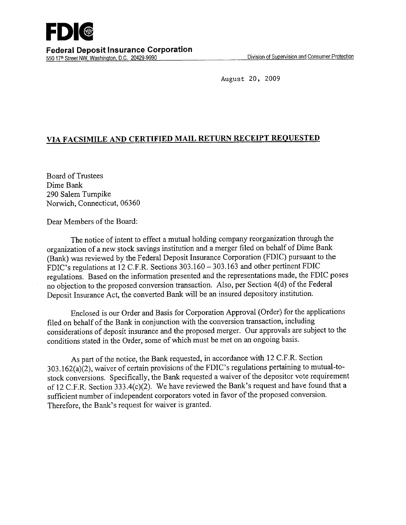August 20, 2009

## **VIA FACSIMILE AND CERTIFIED MAIL RETURN RECEIPT REQUESTED**

Board of Trustees Dime Bank 290 Salem Turnpike Norwich, Connecticut, 06360

Dear Members of the Board:

The notice of intent to effect a mutual holding company reorganization through the organization of a new stock savings institution and a merger filed on behalf of Dime Bank (Bank) was reviewed by the Federal Deposit Insurance Corporation (FDIC) pursuant to the FDIC's regulations at 12 C.F.R. Sections 303.160 - 303.163 and other pertinent FDIC regulations. Based on the information presented and the representations made, the FDIC poses no objection to the proposed conversion transaction. Also, per Section 4(d) of the Federal Deposit Insurance Act, the converted Bank will be an insured depository institution.

Enclosed is our Order and Basis for Corporation Approval (Order) for the applications filed on behalf of the Bank in conjunction with the conversion transaction, including considerations of deposit insurance and the proposed merger. Our approvals are subject to the conditions stated in the Order, some of which must be met on an ongoing basis.

As part of the notice, the Bank requested, in accordance with 12 C.F.R. Section 303.162(a)(2), waiver of certain provisions of the FDIC's regulations pertaining to mutual-tostock conversions. Specifically, the Bank requested a waiver of the depositor vote requirement of 12 C.F.R. Section 333.4(c)(2). We have reviewed the Bank's request and have found that a sufficient number of independent corporators voted in favor of the proposed conversion. Therefore, the Bank's request for waiver is granted.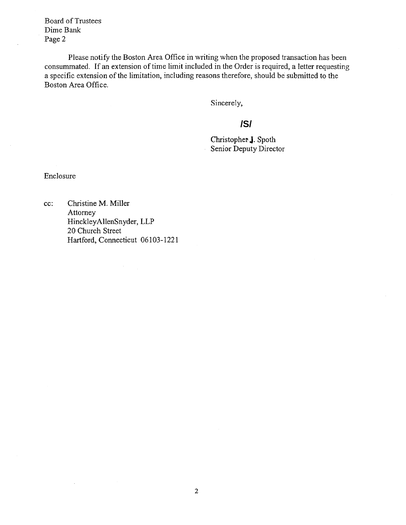Board of Trustees Dime Bank Page 2

Please notify the Boston Area Office in writing when the proposed transaction has been consummated. If an extension of time limit included in the Order is required, a letter requesting a specific extension of the limitation, including reasons therefore, should be submitted to the Boston Area Office.

Sincerely,

## **/S/**

Christopher J. Spoth Senior Deputy Director

Enclosure

 $\bar{z}$ 

cc: Christine M. Miller Attorney HinckleyAllenSnyder, LLP 20 Church Street Hartford, Connecticut 06103-1221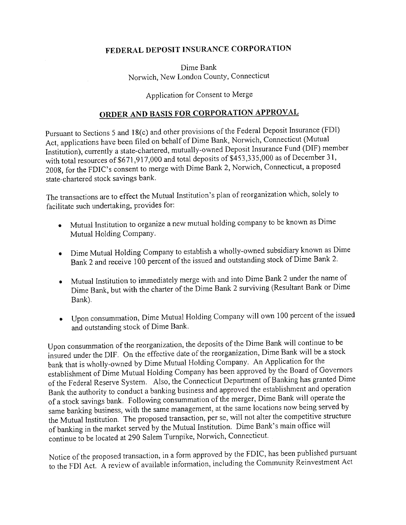## **FEDERAL DEPOSIT INSURANCE CORPORATION**

Dime Bank Norwich, New London County, Connecticut

Application for Consent to Merge

## **ORDER AND BASIS FOR CORPORATION APPROVAL**

Pursuant to Sections 5 and 18(c) and other provisions of the Federal Deposit Insurance (FDI) Act, applications have been filed on behalf of Dime Bank, Norwich, Connecticut (Mutual Institution), currently a state-chartered, mutually-owned Deposit Insurance Fund (DIF) member with total resources of \$671,917,000 and total deposits of \$453,335,000 as of December 31, 2008, for the FDIC's consent to merge with Dime Bank 2, Norwich, Connecticut, a proposedstate-chartered stock savings bank.

The transactions are to effect the Mutual Institution's plan of reorganization which, solely to facilitate such undertaking, provides for:

- Mutual Institution to organize a new mutual holding company to be known as Dime Mutual Holding Company.
- Dime Mutual Holding Company to establish a wholly-owned subsidiary known as Dime Bank 2 and receive 100 percent of the issued and outstanding stock of Dime Bank 2.
- Mutual Institution to immediately merge with and into Dime Bank 2 under the name of Dime Bank, but with the charter of the Dime Bank 2 surviving (Resultant Bank or Dime Bank).
- Upon consummation, Dime Mutual Holding Company will own 100 percent of the issued and outstanding stock of Dime Bank.

Upon consummation of the reorganization, the deposits of the Dime Bank will continue to be insured under the DIF. On the effective date of the reorganization, Dime Bank will be a stock bank that is wholly-owned by Dime Mutual Holding Company. An Application for the establishment of Dime Mutual Holding Company has been approved by the Board of Governors of the Federal Reserve System. Also, the Connecticut Department of Banking has granted Dime Bank the authority to conduct a banking business and approved the establishment and operation of a stock savings bank. Following consummation of the merger, Dime Bank will operate the same banking business, with the same management, at the same locations now being served by the Mutual Institution. The proposed transaction, per se, will not alter the competitive structure of banking in the market served by the Mutual Institution. Dime Bank's main office will continue to be located at 290 Salem Turnpike, Norwich, Connecticut.

Notice of the proposed transaction, in a form approved by the FDIC, has been published pursuant to the FDI Act. A review of available information, including the Community Reinvestment Act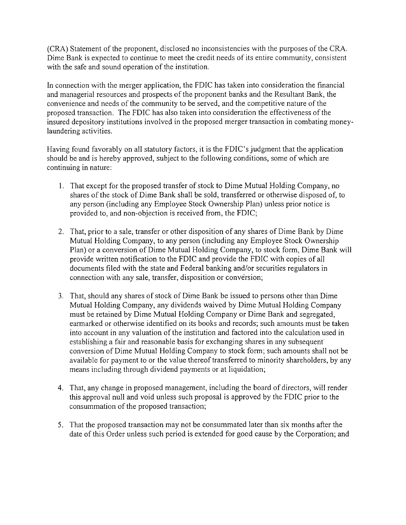(CRA) Statement of the proponent, disclosed no inconsistencies with the purposes of the CRA. Dime Bank is expected to continue to meet the credit needs of its entire community, consistent with the safe and sound operation of the institution.

In connection with the merger application, the FDIC has taken into consideration the financial and managerial resources and prospects of the proponent banks and the Resultant Bank, the convenience and needs of the community to be served, and the competitive nature of the proposed transaction. The FDIC has also taken into consideration the effectiveness of the insured depository institutions involved in the proposed merger transaction in combating moneylaundering activities.

Having found favorably on all statutory factors, it is the FDIC's judgment that the application should be and is hereby approved, subject to the following conditions, some of which are continuing in nature:

- 1. That except for the proposed transfer of stock to Dime Mutual Holding Company, no shares of the stock of Dime Bank shall be sold, transferred or otherwise disposed of, to any person (including any Employee Stock Ownership Plan) unless prior notice is provided to, and non-objection is received from, the FDIC;
- 2. That, prior to a sale, transfer or other disposition of any shares of Dime Bank by Dime Mutual Holding Company, to any person (including any Employee Stock Ownership Plan) or a conversion of Dime Mutual Holding Company, to stock form, Dime Bank will provide written notification to the FDIC and provide the FDIC with copies of all documents filed with the state and Federal banking and/or securities regulators in connection with any sale, transfer, disposition or conversion;
- That, should any shares of stock of Dime Bank be issued to persons other than Dime Mutual Holding Company, any dividends waived by Dime Mutual Holding Company must be retained by Dime Mutual Holding Company or Dime Bank and segregated, earmarked or otherwise identified on its books and records; such amounts must be taken into account in any valuation of the institution and factored into the calculation used in establishing a fair and reasonable basis for exchanging shares in any subsequent conversion of Dime Mutual Holding Company to stock form; such amounts shall not be available for payment to or the value thereof transferred to minority shareholders, by any means including through dividend payments or at liquidation;
- 4. That, any change in proposed management, including the board of directors, will render this approval null and void unless such proposal is approved by the FDIC prior to the consummation of the proposed transaction;
- 5. That the proposed transaction may not be consummated later than six months after the date of this Order unless such period is extended for good cause by the Corporation; and